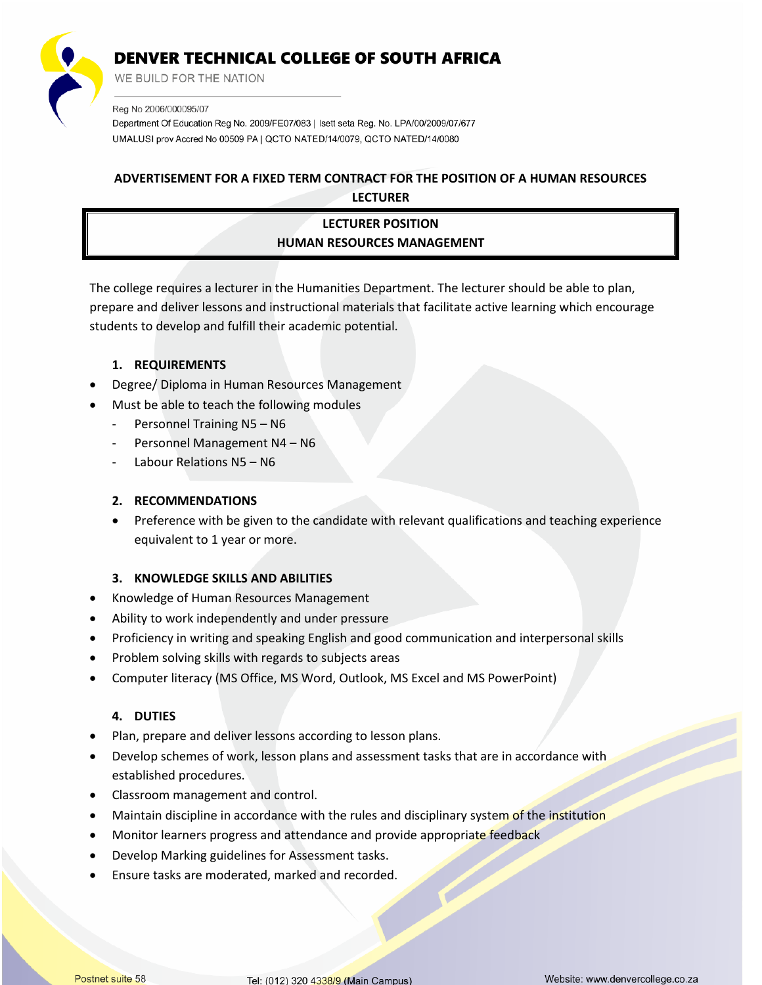

WE BUILD FOR THE NATION

Reg No 2006/000095/07

Department Of Education Reg No. 2009/FE07/083 | Isett seta Reg. No. LPA/00/2009/07/677 UMALUSI prov Accred No 00509 PA | QCTO NATED/14/0079, QCTO NATED/14/0080

### **ADVERTISEMENT FOR A FIXED TERM CONTRACT FOR THE POSITION OF A HUMAN RESOURCES LECTURER**

## **LECTURER POSITION HUMAN RESOURCES MANAGEMENT**

The college requires a lecturer in the Humanities Department. The lecturer should be able to plan, prepare and deliver lessons and instructional materials that facilitate active learning which encourage students to develop and fulfill their academic potential.

### **1. REQUIREMENTS**

- Degree/ Diploma in Human Resources Management
- Must be able to teach the following modules
	- Personnel Training N5 N6
	- Personnel Management N4 N6
	- Labour Relations N5 N6

#### **2. RECOMMENDATIONS**

• Preference with be given to the candidate with relevant qualifications and teaching experience equivalent to 1 year or more.

#### **3. KNOWLEDGE SKILLS AND ABILITIES**

- Knowledge of Human Resources Management
- Ability to work independently and under pressure
- Proficiency in writing and speaking English and good communication and interpersonal skills
- Problem solving skills with regards to subjects areas
- Computer literacy (MS Office, MS Word, Outlook, MS Excel and MS PowerPoint)

#### **4. DUTIES**

- Plan, prepare and deliver lessons according to lesson plans.
- Develop schemes of work, lesson plans and assessment tasks that are in accordance with established procedures.
- Classroom management and control.
- Maintain discipline in accordance with the rules and disciplinary system of the institution

K

- Monitor learners progress and attendance and provide appropriate feedback
- Develop Marking guidelines for Assessment tasks.
- Ensure tasks are moderated, marked and recorded.